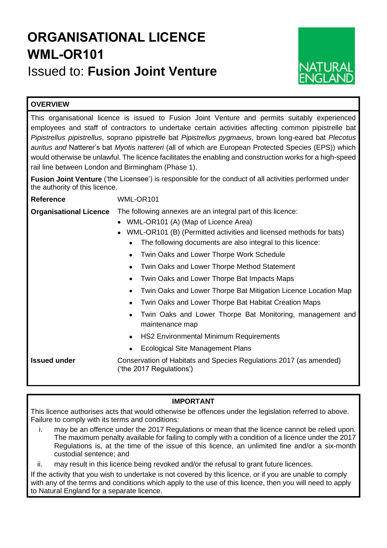# **ORGANISATIONAL LICENCE WML-OR101** Issued to: **Fusion Joint Venture**



# **OVERVIEW**

This organisational licence is issued to Fusion Joint Venture and permits suitably experienced employees and staff of contractors to undertake certain activities affecting common pipistrelle bat *Pipistrellus pipistrellus*, soprano pipistrelle bat *Pipistrellus pygmaeus*, brown long-eared bat *Plecotus auritus and* Natterer's bat *Myotis nattereri* (all of which are European Protected Species (EPS)) which would otherwise be unlawful. The licence facilitates the enabling and construction works for a high-speed rail line between London and Birmingham (Phase 1).

**Fusion Joint Venture** ('the Licensee') is responsible for the conduct of all activities performed under the authority of this licence.

**Reference** WML-OR101

# **Organisational Licence** The following annexes are an integral part of this licence:

- WML-OR101 (A) (Map of Licence Area)
- WML-OR101 (B) (Permitted activities and licensed methods for bats)
	- The following documents are also integral to this licence:
	- Twin Oaks and Lower Thorpe Work Schedule
	- Twin Oaks and Lower Thorpe Method Statement
	- Twin Oaks and Lower Thorpe Bat Impacts Maps
	- Twin Oaks and Lower Thorpe Bat Mitigation Licence Location Map
	- Twin Oaks and Lower Thorpe Bat Habitat Creation Maps
	- Twin Oaks and Lower Thorpe Bat Monitoring, management and maintenance map
	- HS2 Environmental Minimum Requirements
	- Ecological Site Management Plans

**Issued under Conservation of Habitats and Species Regulations 2017 (as amended)** ('the 2017 Regulations')

# **IMPORTANT**

This licence authorises acts that would otherwise be offences under the legislation referred to above. Failure to comply with its terms and conditions:

i. may be an offence under the 2017 Regulations or mean that the licence cannot be relied upon. The maximum penalty available for failing to comply with a condition of a licence under the 2017 Regulations is, at the time of the issue of this licence, an unlimited fine and/or a six-month custodial sentence; and

ii. may result in this licence being revoked and/or the refusal to grant future licences.

If the activity that you wish to undertake is not covered by this licence, or if you are unable to comply with any of the terms and conditions which apply to the use of this licence, then you will need to apply to Natural England for a separate licence.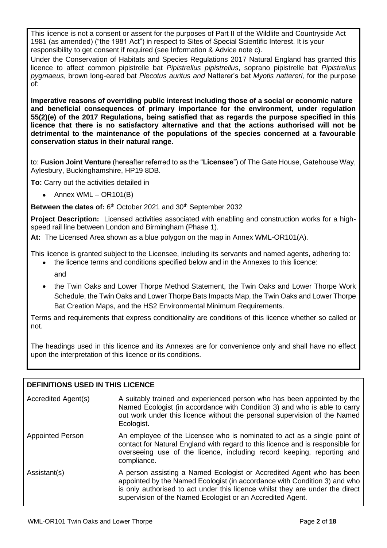This licence is not a consent or assent for the purposes of Part II of the Wildlife and Countryside Act 1981 (as amended) ("the 1981 Act") in respect to Sites of Special Scientific Interest. It is your responsibility to get consent if required (see Information & Advice note c).

Under the Conservation of Habitats and Species Regulations 2017 Natural England has granted this licence to affect common pipistrelle bat *Pipistrellus pipistrellus*, soprano pipistrelle bat *Pipistrellus pygmaeus*, brown long-eared bat *Plecotus auritus and* Natterer's bat *Myotis nattereri,* for the purpose of:

**Imperative reasons of overriding public interest including those of a social or economic nature and beneficial consequences of primary importance for the environment, under regulation 55(2)(e) of the 2017 Regulations, being satisfied that as regards the purpose specified in this licence that there is no satisfactory alternative and that the actions authorised will not be detrimental to the maintenance of the populations of the species concerned at a favourable conservation status in their natural range.**

to: **Fusion Joint Venture** (hereafter referred to as the "**Licensee**") of The Gate House, Gatehouse Way, Aylesbury, Buckinghamshire, HP19 8DB.

**To:** Carry out the activities detailed in

• Annex WML –  $OR101(B)$ 

Between the dates of: 6<sup>th</sup> October 2021 and 30<sup>th</sup> September 2032

**Project Description:** Licensed activities associated with enabling and construction works for a highspeed rail line between London and Birmingham (Phase 1).

**At:** The Licensed Area shown as a blue polygon on the map in Annex WML-OR101(A).

This licence is granted subject to the Licensee, including its servants and named agents, adhering to:

- the licence terms and conditions specified below and in the Annexes to this licence: and
- the Twin Oaks and Lower Thorpe Method Statement, the Twin Oaks and Lower Thorpe Work Schedule, the Twin Oaks and Lower Thorpe Bats Impacts Map, the Twin Oaks and Lower Thorpe Bat Creation Maps, and the HS2 Environmental Minimum Requirements.

Terms and requirements that express conditionality are conditions of this licence whether so called or not.

The headings used in this licence and its Annexes are for convenience only and shall have no effect upon the interpretation of this licence or its conditions.

## **DEFINITIONS USED IN THIS LICENCE**

| Accredited Agent(s)     | A suitably trained and experienced person who has been appointed by the<br>Named Ecologist (in accordance with Condition 3) and who is able to carry<br>out work under this licence without the personal supervision of the Named<br>Ecologist.                                                   |
|-------------------------|---------------------------------------------------------------------------------------------------------------------------------------------------------------------------------------------------------------------------------------------------------------------------------------------------|
| <b>Appointed Person</b> | An employee of the Licensee who is nominated to act as a single point of<br>contact for Natural England with regard to this licence and is responsible for<br>overseeing use of the licence, including record keeping, reporting and<br>compliance.                                               |
| Assistant(s)            | A person assisting a Named Ecologist or Accredited Agent who has been<br>appointed by the Named Ecologist (in accordance with Condition 3) and who<br>is only authorised to act under this licence whilst they are under the direct<br>supervision of the Named Ecologist or an Accredited Agent. |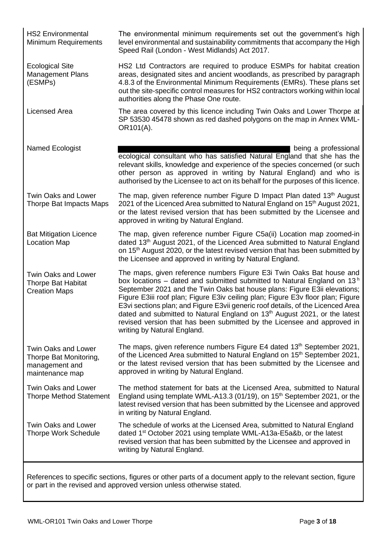HS2 Environmental Minimum Requirements The environmental minimum requirements set out the government's high level environmental and sustainability commitments that accompany the High Speed Rail (London - West Midlands) Act 2017. Ecological Site Management Plans (ESMPs) HS2 Ltd Contractors are required to produce ESMPs for habitat creation areas, designated sites and ancient woodlands, as prescribed by paragraph 4.8.3 of the Environmental Minimum Requirements (EMRs). These plans set out the site-specific control measures for HS2 contractors working within local authorities along the Phase One route. Licensed Area **The area covered by this licence including Twin Oaks and Lower Thorpe at** SP 53530 45478 shown as red dashed polygons on the map in Annex WML-OR101(A). Named Ecologist being a professional being a professional being a professional being a professional being a professional being a professional being a professional being a professional being a professional being a professio ecological consultant who has satisfied Natural England that she has the relevant skills, knowledge and experience of the species concerned (or such other person as approved in writing by Natural England) and who is authorised by the Licensee to act on its behalf for the purposes of this licence. Twin Oaks and Lower Thorpe Bat Impacts Maps The map, given reference number Figure D Impact Plan dated 13<sup>th</sup> August 2021 of the Licenced Area submitted to Natural England on 15<sup>th</sup> August 2021, or the latest revised version that has been submitted by the Licensee and approved in writing by Natural England. Bat Mitigation Licence Location Map The map, given reference number Figure C5a(ii) Location map zoomed-in dated 13<sup>th</sup> August 2021, of the Licenced Area submitted to Natural England on 15<sup>th</sup> August 2020, or the latest revised version that has been submitted by the Licensee and approved in writing by Natural England. Twin Oaks and Lower Thorpe Bat Habitat Creation Maps The maps, given reference numbers Figure E3i Twin Oaks Bat house and box locations – dated and submitted submitted to Natural England on 13 $<sup>h</sup>$ </sup> September 2021 and the Twin Oaks bat house plans: Figure E3ii elevations; Figure E3iii roof plan; Figure E3iv ceiling plan; Figure E3v floor plan; Figure E3vi sections plan; and Figure E3vii generic roof details, of the Licenced Area dated and submitted to Natural England on 13<sup>th</sup> August 2021, or the latest revised version that has been submitted by the Licensee and approved in writing by Natural England. Twin Oaks and Lower Thorpe Bat Monitoring, management and maintenance map The maps, given reference numbers Figure E4 dated 13<sup>th</sup> September 2021, of the Licenced Area submitted to Natural England on 15<sup>th</sup> September 2021, or the latest revised version that has been submitted by the Licensee and approved in writing by Natural England. Twin Oaks and Lower Thorpe Method Statement The method statement for bats at the Licensed Area, submitted to Natural England using template WML-A13.3 (01/19), on 15<sup>th</sup> September 2021, or the latest revised version that has been submitted by the Licensee and approved in writing by Natural England. Twin Oaks and Lower Thorpe Work Schedule The schedule of works at the Licensed Area, submitted to Natural England dated 1<sup>st</sup> October 2021 using template WML-A13a-E5a&b, or the latest revised version that has been submitted by the Licensee and approved in writing by Natural England.

References to specific sections, figures or other parts of a document apply to the relevant section, figure or part in the revised and approved version unless otherwise stated.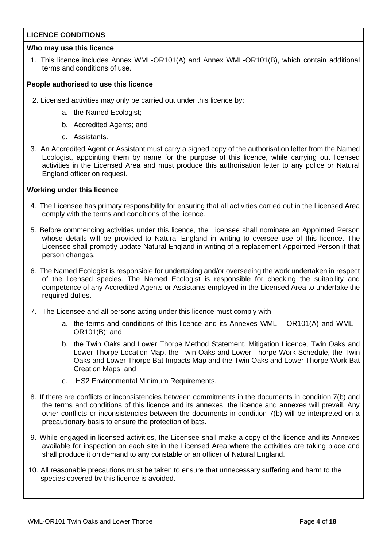## **LICENCE CONDITIONS**

## **Who may use this licence**

1. This licence includes Annex WML-OR101(A) and Annex WML-OR101(B), which contain additional terms and conditions of use.

## **People authorised to use this licence**

- 2. Licensed activities may only be carried out under this licence by:
	- a. the Named Ecologist;
	- b. Accredited Agents; and
	- c. Assistants.
- 3. An Accredited Agent or Assistant must carry a signed copy of the authorisation letter from the Named Ecologist, appointing them by name for the purpose of this licence, while carrying out licensed activities in the Licensed Area and must produce this authorisation letter to any police or Natural England officer on request.

## **Working under this licence**

- 4. The Licensee has primary responsibility for ensuring that all activities carried out in the Licensed Area comply with the terms and conditions of the licence.
- 5. Before commencing activities under this licence, the Licensee shall nominate an Appointed Person whose details will be provided to Natural England in writing to oversee use of this licence. The Licensee shall promptly update Natural England in writing of a replacement Appointed Person if that person changes.
- 6. The Named Ecologist is responsible for undertaking and/or overseeing the work undertaken in respect of the licensed species. The Named Ecologist is responsible for checking the suitability and competence of any Accredited Agents or Assistants employed in the Licensed Area to undertake the required duties.
- 7. The Licensee and all persons acting under this licence must comply with:
	- a. the terms and conditions of this licence and its Annexes WML OR101(A) and WML OR101(B); and
	- b. the Twin Oaks and Lower Thorpe Method Statement, Mitigation Licence, Twin Oaks and Lower Thorpe Location Map, the Twin Oaks and Lower Thorpe Work Schedule, the Twin Oaks and Lower Thorpe Bat Impacts Map and the Twin Oaks and Lower Thorpe Work Bat Creation Maps; and
	- c. HS2 Environmental Minimum Requirements.
- 8. If there are conflicts or inconsistencies between commitments in the documents in condition 7(b) and the terms and conditions of this licence and its annexes, the licence and annexes will prevail. Any other conflicts or inconsistencies between the documents in condition 7(b) will be interpreted on a precautionary basis to ensure the protection of bats.
- 9. While engaged in licensed activities, the Licensee shall make a copy of the licence and its Annexes available for inspection on each site in the Licensed Area where the activities are taking place and shall produce it on demand to any constable or an officer of Natural England.
- 10. All reasonable precautions must be taken to ensure that unnecessary suffering and harm to the species covered by this licence is avoided.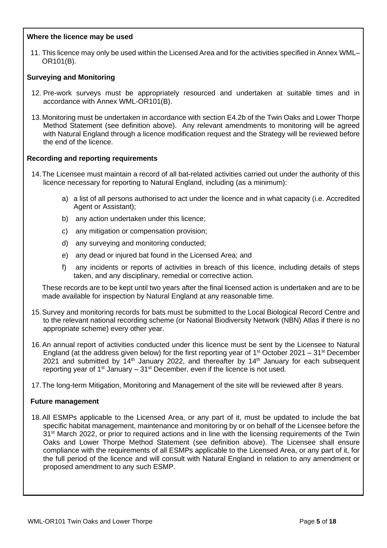## **Where the licence may be used**

11. This licence may only be used within the Licensed Area and for the activities specified in Annex WML– OR101(B).

## **Surveying and Monitoring**

- 12. Pre-work surveys must be appropriately resourced and undertaken at suitable times and in accordance with Annex WML-OR101(B).
- 13.Monitoring must be undertaken in accordance with section E4.2b of the Twin Oaks and Lower Thorpe Method Statement (see definition above). Any relevant amendments to monitoring will be agreed with Natural England through a licence modification request and the Strategy will be reviewed before the end of the licence.

## **Recording and reporting requirements**

- 14.The Licensee must maintain a record of all bat-related activities carried out under the authority of this licence necessary for reporting to Natural England, including (as a minimum):
	- a) a list of all persons authorised to act under the licence and in what capacity (i.e. Accredited Agent or Assistant);
	- b) any action undertaken under this licence;
	- c) any mitigation or compensation provision;
	- d) any surveying and monitoring conducted;
	- e) any dead or injured bat found in the Licensed Area; and
	- f) any incidents or reports of activities in breach of this licence, including details of steps taken, and any disciplinary, remedial or corrective action.

These records are to be kept until two years after the final licensed action is undertaken and are to be made available for inspection by Natural England at any reasonable time.

- 15.Survey and monitoring records for bats must be submitted to the Local Biological Record Centre and to the relevant national recording scheme (or National Biodiversity Network (NBN) Atlas if there is no appropriate scheme) every other year.
- 16.An annual report of activities conducted under this licence must be sent by the Licensee to Natural England (at the address given below) for the first reporting year of  $1<sup>st</sup>$  October 2021 – 31 $<sup>st</sup>$  December</sup> 2021 and submitted by  $14<sup>th</sup>$  January 2022, and thereafter by  $14<sup>th</sup>$  January for each subsequent reporting year of  $1<sup>st</sup>$  January –  $31<sup>st</sup>$  December, even if the licence is not used.
- 17.The long-term Mitigation, Monitoring and Management of the site will be reviewed after 8 years.

### **Future management**

18.All ESMPs applicable to the Licensed Area, or any part of it, must be updated to include the bat specific habitat management, maintenance and monitoring by or on behalf of the Licensee before the 31<sup>st</sup> March 2022, or prior to required actions and in line with the licensing requirements of the Twin Oaks and Lower Thorpe Method Statement (see definition above). The Licensee shall ensure compliance with the requirements of all ESMPs applicable to the Licensed Area, or any part of it, for the full period of the licence and will consult with Natural England in relation to any amendment or proposed amendment to any such ESMP.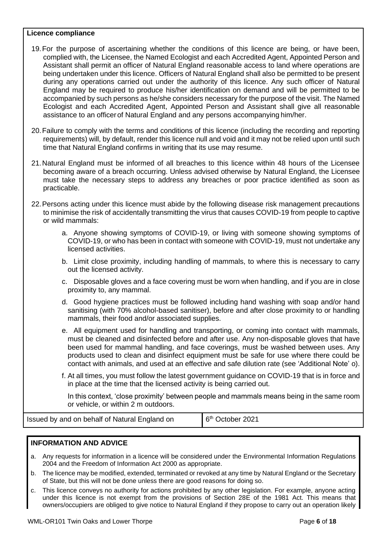### **Licence compliance**

- 19.For the purpose of ascertaining whether the conditions of this licence are being, or have been, complied with, the Licensee, the Named Ecologist and each Accredited Agent, Appointed Person and Assistant shall permit an officer of Natural England reasonable access to land where operations are being undertaken under this licence. Officers of Natural England shall also be permitted to be present during any operations carried out under the authority of this licence. Any such officer of Natural England may be required to produce his/her identification on demand and will be permitted to be accompanied by such persons as he/she considers necessary for the purpose of the visit. The Named Ecologist and each Accredited Agent, Appointed Person and Assistant shall give all reasonable assistance to an officerof Natural England and any persons accompanying him/her.
- 20.Failure to comply with the terms and conditions of this licence (including the recording and reporting requirements) will, by default, render this licence null and void and it may not be relied upon until such time that Natural England confirms in writing that its use may resume.
- 21.Natural England must be informed of all breaches to this licence within 48 hours of the Licensee becoming aware of a breach occurring. Unless advised otherwise by Natural England, the Licensee must take the necessary steps to address any breaches or poor practice identified as soon as practicable.
- 22.Persons acting under this licence must abide by the following disease risk management precautions to minimise the risk of accidentally transmitting the virus that causes COVID-19 from people to captive or wild mammals:
	- a. Anyone showing symptoms of COVID-19, or living with someone showing symptoms of COVID-19, or who has been in contact with someone with COVID-19, must not undertake any licensed activities.
	- b. Limit close proximity, including handling of mammals, to where this is necessary to carry out the licensed activity.
	- c. Disposable gloves and a face covering must be worn when handling, and if you are in close proximity to, any mammal.
	- d. Good hygiene practices must be followed including hand washing with soap and/or hand sanitising (with 70% alcohol-based sanitiser), before and after close proximity to or handling mammals, their food and/or associated supplies.
	- e. All equipment used for handling and transporting, or coming into contact with mammals, must be cleaned and disinfected before and after use. Any non-disposable gloves that have been used for mammal handling, and face coverings, must be washed between uses. Any products used to clean and disinfect equipment must be safe for use where there could be contact with animals, and used at an effective and safe dilution rate (see 'Additional Note' o).
	- f. At all times, you must follow the latest government guidance on COVID-19 that is in force and in place at the time that the licensed activity is being carried out.

In this context, 'close proximity' between people and mammals means being in the same room or vehicle, or within 2 m outdoors.

Issued by and on behalf of Natural England on 6

6<sup>th</sup> October 2021

### **INFORMATION AND ADVICE**

- a. Any requests for information in a licence will be considered under the Environmental Information Regulations 2004 and the Freedom of Information Act 2000 as appropriate.
- b. The licence may be modified, extended, terminated or revoked at any time by Natural England or the Secretary of State, but this will not be done unless there are good reasons for doing so.
- c. This licence conveys no authority for actions prohibited by any other legislation. For example, anyone acting under this licence is not exempt from the provisions of Section 28E of the 1981 Act. This means that owners/occupiers are obliged to give notice to Natural England if they propose to carry out an operation likely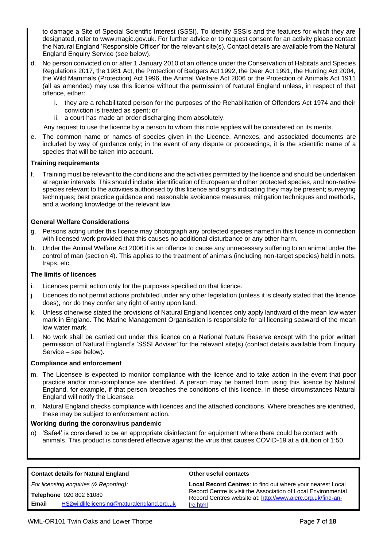to damage a Site of Special Scientific Interest (SSSI). To identify SSSIs and the features for which they are designated, refer to www.magic.gov.uk. For further advice or to request consent for an activity please contact the Natural England 'Responsible Officer' for the relevant site(s). Contact details are available from the Natural England Enquiry Service (see below).

- d. No person convicted on or after 1 January 2010 of an offence under the Conservation of Habitats and Species Regulations 2017, the 1981 Act, the Protection of Badgers Act 1992, the Deer Act 1991, the Hunting Act 2004, the Wild Mammals (Protection) Act 1996, the Animal Welfare Act 2006 or the Protection of Animals Act 1911 (all as amended) may use this licence without the permission of Natural England unless, in respect of that offence, either:
	- i. they are a rehabilitated person for the purposes of the Rehabilitation of Offenders Act 1974 and their conviction is treated as spent; or
	- ii. a court has made an order discharging them absolutely.

Any request to use the licence by a person to whom this note applies will be considered on its merits.

e. The common name or names of species given in the Licence, Annexes, and associated documents are included by way of guidance only; in the event of any dispute or proceedings, it is the scientific name of a species that will be taken into account.

### **Training requirements**

f. Training must be relevant to the conditions and the activities permitted by the licence and should be undertaken at regular intervals. This should include: identification of European and other protected species, and non-native species relevant to the activities authorised by this licence and signs indicating they may be present; surveying techniques; best practice guidance and reasonable avoidance measures; mitigation techniques and methods, and a working knowledge of the relevant law.

### **General Welfare Considerations**

- g. Persons acting under this licence may photograph any protected species named in this licence in connection with licensed work provided that this causes no additional disturbance or any other harm.
- h. Under the Animal Welfare Act 2006 it is an offence to cause any unnecessary suffering to an animal under the control of man (section 4). This applies to the treatment of animals (including non-target species) held in nets, traps, etc.

#### **The limits of licences**

- i. Licences permit action only for the purposes specified on that licence.
- j. Licences do not permit actions prohibited under any other legislation (unless it is clearly stated that the licence does), nor do they confer any right of entry upon land.
- k. Unless otherwise stated the provisions of Natural England licences only apply landward of the mean low water mark in England. The Marine Management Organisation is responsible for all licensing seaward of the mean low water mark.
- l. No work shall be carried out under this licence on a National Nature Reserve except with the prior written permission of Natural England's 'SSSI Adviser' for the relevant site(s) (contact details available from Enquiry Service – see below).

#### **Compliance and enforcement**

- m. The Licensee is expected to monitor compliance with the licence and to take action in the event that poor practice and/or non-compliance are identified. A person may be barred from using this licence by Natural England, for example, if that person breaches the conditions of this licence. In these circumstances Natural England will notify the Licensee.
- n. Natural England checks compliance with licences and the attached conditions. Where breaches are identified, these may be subject to enforcement action.

#### **Working during the coronavirus pandemic**

o) 'Safe4' is considered to be an appropriate disinfectant for equipment where there could be contact with animals. This product is considered effective against the virus that causes COVID-19 at a dilution of 1:50.

| <b>Contact details for Natural England</b> | Other useful contacts                                             |  |  |  |  |
|--------------------------------------------|-------------------------------------------------------------------|--|--|--|--|
| For licensing enquiries (& Reporting):     | <b>Local Record Centres: to find out where your nearest Local</b> |  |  |  |  |
| Telephone 020 802 61089                    | Record Centre is visit the Association of Local Environmental     |  |  |  |  |
| HS2wildlifelicensing@naturalengland.org.uk | Record Centres website at: http://www.alerc.org.uk/find-an-       |  |  |  |  |
| Email                                      | Irc.html                                                          |  |  |  |  |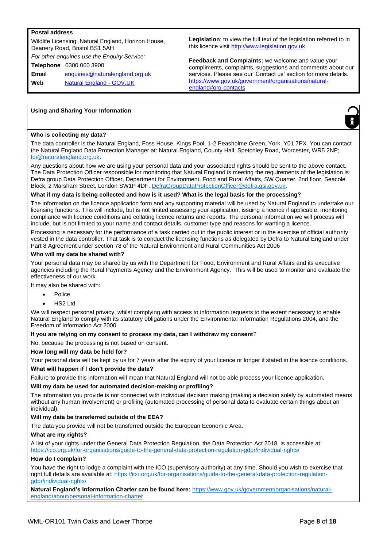#### **Postal address**

Wildlife Licensing, Natural England, Horizon House, Deanery Road, Bristol BS1 5AH *For other enquiries use the Enquiry Service:* **Telephone** 0300 060 3900 **Email** enquiries@naturalengland.org.uk **Web** Natural England - GOV.UK

**Legislation**: to view the full text of the legislation referred to in this licence visit http://www.legislation.gov.uk

**Feedback and Complaints:** we welcome and value your compliments, complaints, suggestions and comments about our services. Please see our 'Contact us' section for more details. https://www.gov.uk/government/organisations/naturalengland#org-contacts

#### **Using and Sharing Your Information**



#### **Who is collecting my data?**

The data controller is the Natural England, Foss House, Kings Pool, 1-2 Peasholme Green, York, Y01 7PX. You can contact the Natural England Data Protection Manager at: Natural England, County Hall, Spetchley Road, Worcester, WR5 2NP; foi@naturalengland.org.uk.

Any questions about how we are using your personal data and your associated rights should be sent to the above contact. The Data Protection Officer responsible for monitoring that Natural England is meeting the requirements of the legislation is: Defra group Data Protection Officer, Department for Environment, Food and Rural Affairs, SW Quarter, 2nd floor, Seacole Block, 2 Marsham Street, London SW1P 4DF. DefraGroupDataProtectionOfficer@defra.gsi.gov.uk.

#### **What if my data is being collected and how is it used? What is the legal basis for the processing?**

The information on the licence application form and any supporting material will be used by Natural England to undertake our licensing functions. This will include, but is not limited assessing your application, issuing a licence if applicable, monitoring compliance with licence conditions and collating licence returns and reports. The personal information we will process will include, but is not limited to your name and contact details, customer type and reasons for wanting a licence.

Processing is necessary for the performance of a task carried out in the public interest or in the exercise of official authority vested in the data controller. That task is to conduct the licensing functions as delegated by Defra to Natural England under Part 8 Agreement under section 78 of the Natural Environment and Rural Communities Act 2006

#### **Who will my data be shared with?**

Your personal data may be shared by us with the Department for Food, Environment and Rural Affairs and its executive agencies including the Rural Payments Agency and the Environment Agency. This will be used to monitor and evaluate the effectiveness of our work.

It may also be shared with:

- Police
- HS2 Ltd.

We will respect personal privacy, whilst complying with access to information requests to the extent necessary to enable Natural England to comply with its statutory obligations under the Environmental Information Regulations 2004, and the Freedom of Information Act 2000.

#### **If you are relying on my consent to process my data, can I withdraw my consent**?

No, because the processing is not based on consent.

#### **How long will my data be held for?**

Your personal data will be kept by us for 7 years after the expiry of your licence or longer if stated in the licence conditions.

#### **What will happen if I don't provide the data?**

Failure to provide this information will mean that Natural England will not be able process your licence application.

#### **Will my data be used for automated decision-making or profiling?**

The information you provide is not connected with individual decision making (making a decision solely by automated means without any human involvement) or profiling (automated processing of personal data to evaluate certain things about an individual).

#### **Will my data be transferred outside of the EEA?**

The data you provide will not be transferred outside the European Economic Area.

#### **What are my rights?**

A list of your rights under the General Data Protection Regulation, the Data Protection Act 2018, is accessible at: https://ico.org.uk/for-organisations/guide-to-the-general-data-protection-regulation-gdpr/individual-rights/

#### **How do I complain?**

You have the right to lodge a complaint with the ICO (supervisory authority) at any time. Should you wish to exercise that right full details are available at: https://ico.org.uk/for-organisations/guide-to-the-general-data-protection-regulationgdpr/individual-rights/

**Natural England's Information Charter can be found here:** https://www.gov.uk/government/organisations/naturalengland/about/personal-information-charter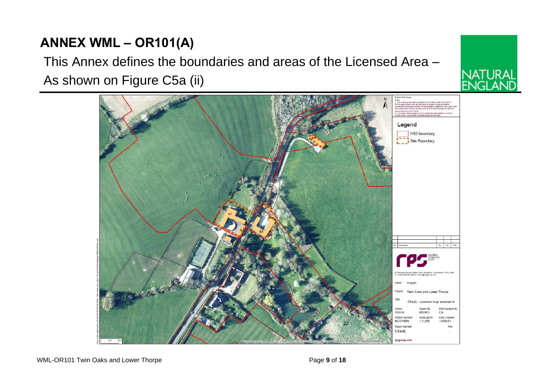# **ANNEX WML – OR101(A)**

# This Annex defines the boundaries and areas of the Licensed Area –

As shown on Figure C5a (ii)



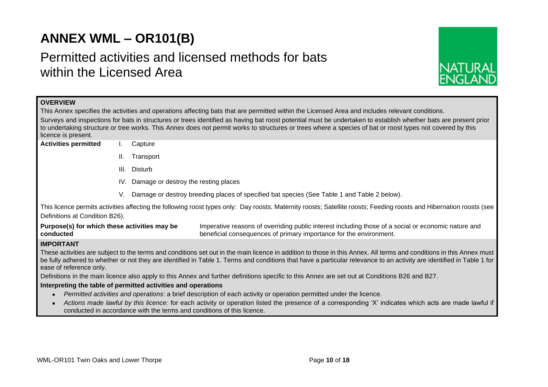# **ANNEX WML – OR101(B)**

# Permitted activities and licensed methods for bats within the Licensed Area



| <b>OVERVIEW</b>                                                                                                                                                                                                                                                                                                                                                          |                                                                                                                                                                 |  |                                                                                                                                                                           |  |  |  |  |  |
|--------------------------------------------------------------------------------------------------------------------------------------------------------------------------------------------------------------------------------------------------------------------------------------------------------------------------------------------------------------------------|-----------------------------------------------------------------------------------------------------------------------------------------------------------------|--|---------------------------------------------------------------------------------------------------------------------------------------------------------------------------|--|--|--|--|--|
| This Annex specifies the activities and operations affecting bats that are permitted within the Licensed Area and includes relevant conditions.                                                                                                                                                                                                                          |                                                                                                                                                                 |  |                                                                                                                                                                           |  |  |  |  |  |
|                                                                                                                                                                                                                                                                                                                                                                          | Surveys and inspections for bats in structures or trees identified as having bat roost potential must be undertaken to establish whether bats are present prior |  |                                                                                                                                                                           |  |  |  |  |  |
| to undertaking structure or tree works. This Annex does not permit works to structures or trees where a species of bat or roost types not covered by this                                                                                                                                                                                                                |                                                                                                                                                                 |  |                                                                                                                                                                           |  |  |  |  |  |
| licence is present.<br><b>Activities permitted</b>                                                                                                                                                                                                                                                                                                                       | Capture                                                                                                                                                         |  |                                                                                                                                                                           |  |  |  |  |  |
|                                                                                                                                                                                                                                                                                                                                                                          |                                                                                                                                                                 |  |                                                                                                                                                                           |  |  |  |  |  |
| Ш.<br>Transport                                                                                                                                                                                                                                                                                                                                                          |                                                                                                                                                                 |  |                                                                                                                                                                           |  |  |  |  |  |
| III. Disturb                                                                                                                                                                                                                                                                                                                                                             |                                                                                                                                                                 |  |                                                                                                                                                                           |  |  |  |  |  |
| IV. Damage or destroy the resting places                                                                                                                                                                                                                                                                                                                                 |                                                                                                                                                                 |  |                                                                                                                                                                           |  |  |  |  |  |
|                                                                                                                                                                                                                                                                                                                                                                          | Damage or destroy breeding places of specified bat species (See Table 1 and Table 2 below).<br>V.                                                               |  |                                                                                                                                                                           |  |  |  |  |  |
|                                                                                                                                                                                                                                                                                                                                                                          |                                                                                                                                                                 |  | This licence permits activities affecting the following roost types only: Day roosts; Maternity roosts; Satellite roosts; Feeding roosts and Hibernation roosts (see      |  |  |  |  |  |
| Definitions at Condition B26).                                                                                                                                                                                                                                                                                                                                           |                                                                                                                                                                 |  |                                                                                                                                                                           |  |  |  |  |  |
| Purpose(s) for which these activities may be<br>conducted                                                                                                                                                                                                                                                                                                                |                                                                                                                                                                 |  | Imperative reasons of overriding public interest including those of a social or economic nature and<br>beneficial consequences of primary importance for the environment. |  |  |  |  |  |
| <b>IMPORTANT</b>                                                                                                                                                                                                                                                                                                                                                         |                                                                                                                                                                 |  |                                                                                                                                                                           |  |  |  |  |  |
| These activities are subject to the terms and conditions set out in the main licence in addition to those in this Annex. All terms and conditions in this Annex must<br>be fully adhered to whether or not they are identified in Table 1. Terms and conditions that have a particular relevance to an activity are identified in Table 1 for<br>ease of reference only. |                                                                                                                                                                 |  |                                                                                                                                                                           |  |  |  |  |  |
| Definitions in the main licence also apply to this Annex and further definitions specific to this Annex are set out at Conditions B26 and B27.                                                                                                                                                                                                                           |                                                                                                                                                                 |  |                                                                                                                                                                           |  |  |  |  |  |
| Interpreting the table of permitted activities and operations                                                                                                                                                                                                                                                                                                            |                                                                                                                                                                 |  |                                                                                                                                                                           |  |  |  |  |  |
|                                                                                                                                                                                                                                                                                                                                                                          | Permitted activities and operations: a brief description of each activity or operation permitted under the licence.                                             |  |                                                                                                                                                                           |  |  |  |  |  |
| Actions made lawful by this licence: for each activity or operation listed the presence of a corresponding 'X' indicates which acts are made lawful if<br>conducted in accordance with the terms and conditions of this licence.                                                                                                                                         |                                                                                                                                                                 |  |                                                                                                                                                                           |  |  |  |  |  |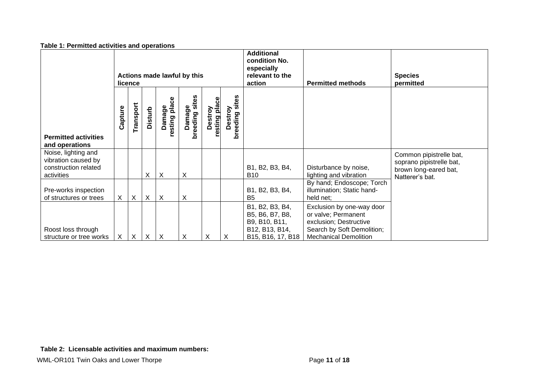| rabic 1.1 crimited activities and operations                                     |                                        |                           |                |                         |                       |                          |                              |                                                                                            |                                                                                                                                          |                                                                                                 |
|----------------------------------------------------------------------------------|----------------------------------------|---------------------------|----------------|-------------------------|-----------------------|--------------------------|------------------------------|--------------------------------------------------------------------------------------------|------------------------------------------------------------------------------------------------------------------------------------------|-------------------------------------------------------------------------------------------------|
|                                                                                  | Actions made lawful by this<br>licence |                           |                |                         |                       |                          |                              | <b>Additional</b><br>condition No.<br>especially<br>relevant to the<br>action              | <b>Permitted methods</b>                                                                                                                 | <b>Species</b><br>permitted                                                                     |
| <b>Permitted activities</b><br>and operations                                    | Capture                                | Transport                 | <b>Disturb</b> | Damage<br>resting place | Damage<br>breeding si | Destroy<br>resting place | sites<br>Destroy<br>breeding |                                                                                            |                                                                                                                                          |                                                                                                 |
| Noise, lighting and<br>vibration caused by<br>construction related<br>activities |                                        |                           | X              | X                       | Χ                     |                          |                              | B1, B2, B3, B4,<br><b>B10</b>                                                              | Disturbance by noise,<br>lighting and vibration                                                                                          | Common pipistrelle bat,<br>soprano pipistrelle bat,<br>brown long-eared bat,<br>Natterer's bat. |
| Pre-works inspection<br>of structures or trees                                   | X.                                     | $\sf X$                   | $\sf X$        | $\sf X$                 | X                     |                          |                              | B1, B2, B3, B4,<br><b>B5</b>                                                               | By hand; Endoscope; Torch<br>illumination; Static hand-<br>held net;                                                                     |                                                                                                 |
| Roost loss through<br>structure or tree works                                    | X                                      | $\boldsymbol{\mathsf{X}}$ | $\sf X$        | $\times$                | X                     | X                        | X                            | B1, B2, B3, B4,<br>B5, B6, B7, B8,<br>B9, B10, B11,<br>B12, B13, B14,<br>B15, B16, 17, B18 | Exclusion by one-way door<br>or valve; Permanent<br>exclusion; Destructive<br>Search by Soft Demolition;<br><b>Mechanical Demolition</b> |                                                                                                 |

#### **Table 1: Permitted activities and operations**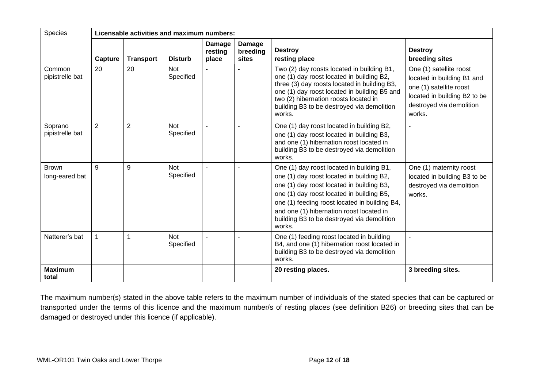| Species<br>Licensable activities and maximum numbers: |                |                  |                         |                                   |                             |                                                                                                                                                                                                                                                                                                                                       |                                                                                                                                                        |
|-------------------------------------------------------|----------------|------------------|-------------------------|-----------------------------------|-----------------------------|---------------------------------------------------------------------------------------------------------------------------------------------------------------------------------------------------------------------------------------------------------------------------------------------------------------------------------------|--------------------------------------------------------------------------------------------------------------------------------------------------------|
|                                                       | Capture        | <b>Transport</b> | <b>Disturb</b>          | <b>Damage</b><br>resting<br>place | Damage<br>breeding<br>sites | <b>Destroy</b><br>resting place                                                                                                                                                                                                                                                                                                       | <b>Destroy</b><br>breeding sites                                                                                                                       |
| Common<br>pipistrelle bat                             | 20             | 20               | Not<br>Specified        |                                   |                             | Two (2) day roosts located in building B1,<br>one (1) day roost located in building B2,<br>three (3) day roosts located in building B3,<br>one (1) day roost located in building B5 and<br>two (2) hibernation roosts located in<br>building B3 to be destroyed via demolition<br>works.                                              | One (1) satellite roost<br>located in building B1 and<br>one (1) satellite roost<br>located in building B2 to be<br>destroyed via demolition<br>works. |
| Soprano<br>pipistrelle bat                            | $\overline{2}$ | $\overline{2}$   | <b>Not</b><br>Specified |                                   |                             | One (1) day roost located in building B2,<br>one (1) day roost located in building B3,<br>and one (1) hibernation roost located in<br>building B3 to be destroyed via demolition<br>works.                                                                                                                                            |                                                                                                                                                        |
| <b>Brown</b><br>long-eared bat                        | 9              | 9                | Not<br>Specified        |                                   |                             | One (1) day roost located in building B1,<br>one (1) day roost located in building B2,<br>one (1) day roost located in building B3,<br>one (1) day roost located in building B5,<br>one (1) feeding roost located in building B4,<br>and one (1) hibernation roost located in<br>building B3 to be destroyed via demolition<br>works. | One (1) maternity roost<br>located in building B3 to be<br>destroyed via demolition<br>works.                                                          |
| Natterer's bat                                        | $\mathbf{1}$   |                  | <b>Not</b><br>Specified |                                   |                             | One (1) feeding roost located in building<br>B4, and one (1) hibernation roost located in<br>building B3 to be destroyed via demolition<br>works.                                                                                                                                                                                     |                                                                                                                                                        |
| <b>Maximum</b><br>total                               |                |                  |                         |                                   |                             | 20 resting places.                                                                                                                                                                                                                                                                                                                    | 3 breeding sites.                                                                                                                                      |

The maximum number(s) stated in the above table refers to the maximum number of individuals of the stated species that can be captured or transported under the terms of this licence and the maximum number/s of resting places (see definition B26) or breeding sites that can be damaged or destroyed under this licence (if applicable).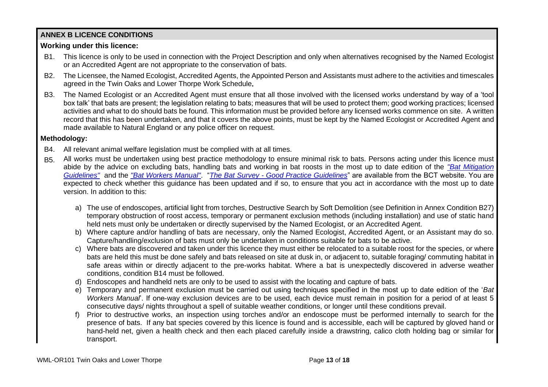# **ANNEX B LICENCE CONDITIONS**

# **Working under this licence:**

- B1. This licence is only to be used in connection with the Project Description and only when alternatives recognised by the Named Ecologist or an Accredited Agent are not appropriate to the conservation of bats.
- B2. The Licensee, the Named Ecologist, Accredited Agents, the Appointed Person and Assistants must adhere to the activities and timescales agreed in the Twin Oaks and Lower Thorpe Work Schedule**.**
- B3. The Named Ecologist or an Accredited Agent must ensure that all those involved with the licensed works understand by way of a 'tool box talk' that bats are present; the legislation relating to bats; measures that will be used to protect them; good working practices; licensed activities and what to do should bats be found. This information must be provided before any licensed works commence on site. A written record that this has been undertaken, and that it covers the above points, must be kept by the Named Ecologist or Accredited Agent and made available to Natural England or any police officer on request.

# **Methodology:**

- B4. All relevant animal welfare legislation must be complied with at all times.
- B5. All works must be undertaken using best practice methodology to ensure minimal risk to bats. Persons acting under this licence must abide by the advice on excluding bats, handling bats and working in bat roosts in the most up to date edition of the *"Bat Mitigation Guidelines"* and the *"Bat Workers Manual"*. "*The Bat Survey - Good Practice Guidelines*" are available from the BCT website. You are expected to check whether this guidance has been updated and if so, to ensure that you act in accordance with the most up to date version. In addition to this:
	- a) The use of endoscopes, artificial light from torches, Destructive Search by Soft Demolition (see Definition in Annex Condition B27) temporary obstruction of roost access, temporary or permanent exclusion methods (including installation) and use of static hand held nets must only be undertaken or directly supervised by the Named Ecologist, or an Accredited Agent.
	- b) Where capture and/or handling of bats are necessary, only the Named Ecologist, Accredited Agent, or an Assistant may do so. Capture/handling/exclusion of bats must only be undertaken in conditions suitable for bats to be active.
	- c) Where bats are discovered and taken under this licence they must either be relocated to a suitable roost for the species, or where bats are held this must be done safely and bats released on site at dusk in, or adjacent to, suitable foraging/ commuting habitat in safe areas within or directly adjacent to the pre-works habitat. Where a bat is unexpectedly discovered in adverse weather conditions, condition B14 must be followed.
	- d) Endoscopes and handheld nets are only to be used to assist with the locating and capture of bats.
	- e) Temporary and permanent exclusion must be carried out using techniques specified in the most up to date edition of the '*Bat Workers Manual*'. If one-way exclusion devices are to be used, each device must remain in position for a period of at least 5 consecutive days/ nights throughout a spell of suitable weather conditions, or longer until these conditions prevail.
	- f) Prior to destructive works, an inspection using torches and/or an endoscope must be performed internally to search for the presence of bats. If any bat species covered by this licence is found and is accessible, each will be captured by gloved hand or hand-held net, given a health check and then each placed carefully inside a drawstring, calico cloth holding bag or similar for transport.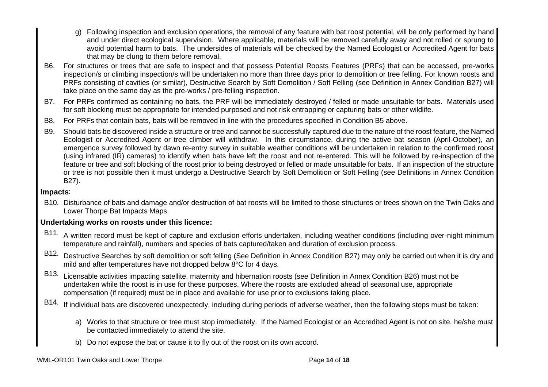- g) Following inspection and exclusion operations, the removal of any feature with bat roost potential, will be only performed by hand and under direct ecological supervision. Where applicable, materials will be removed carefully away and not rolled or sprung to avoid potential harm to bats. The undersides of materials will be checked by the Named Ecologist or Accredited Agent for bats that may be clung to them before removal.
- B6. For structures or trees that are safe to inspect and that possess Potential Roosts Features (PRFs) that can be accessed, pre-works inspection/s or climbing inspection/s will be undertaken no more than three days prior to demolition or tree felling. For known roosts and PRFs consisting of cavities (or similar), Destructive Search by Soft Demolition / Soft Felling (see Definition in Annex Condition B27) will take place on the same day as the pre-works / pre-felling inspection.
- B7. For PRFs confirmed as containing no bats, the PRF will be immediately destroyed / felled or made unsuitable for bats. Materials used for soft blocking must be appropriate for intended purposed and not risk entrapping or capturing bats or other wildlife.
- B8. For PRFs that contain bats, bats will be removed in line with the procedures specified in Condition B5 above.
- B9. Should bats be discovered inside a structure or tree and cannot be successfully captured due to the nature of the roost feature, the Named Ecologist or Accredited Agent or tree climber will withdraw. In this circumstance, during the active bat season (April-October), an emergence survey followed by dawn re-entry survey in suitable weather conditions will be undertaken in relation to the confirmed roost (using infrared (IR) cameras) to identify when bats have left the roost and not re-entered. This will be followed by re-inspection of the feature or tree and soft blocking of the roost prior to being destroyed or felled or made unsuitable for bats. If an inspection of the structure or tree is not possible then it must undergo a Destructive Search by Soft Demolition or Soft Felling (see Definitions in Annex Condition B27).

## **Impacts**:

B10. Disturbance of bats and damage and/or destruction of bat roosts will be limited to those structures or trees shown on the Twin Oaks and Lower Thorpe Bat Impacts Maps.

## **Undertaking works on roosts under this licence:**

- B11. A written record must be kept of capture and exclusion efforts undertaken, including weather conditions (including over-night minimum temperature and rainfall), numbers and species of bats captured/taken and duration of exclusion process.
- B12. Destructive Searches by soft demolition or soft felling (See Definition in Annex Condition B27) may only be carried out when it is dry and mild and after temperatures have not dropped below 8°C for 4 days.
- B13. Licensable activities impacting satellite, maternity and hibernation roosts (see Definition in Annex Condition B26) must not be undertaken while the roost is in use for these purposes. Where the roosts are excluded ahead of seasonal use, appropriate compensation (if required) must be in place and available for use prior to exclusions taking place.
- B14. If individual bats are discovered unexpectedly, including during periods of adverse weather, then the following steps must be taken:
	- a) Works to that structure or tree must stop immediately. If the Named Ecologist or an Accredited Agent is not on site, he/she must be contacted immediately to attend the site.
	- b) Do not expose the bat or cause it to fly out of the roost on its own accord.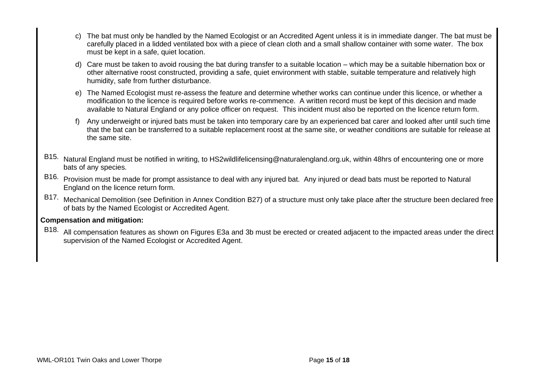- c) The bat must only be handled by the Named Ecologist or an Accredited Agent unless it is in immediate danger. The bat must be carefully placed in a lidded ventilated box with a piece of clean cloth and a small shallow container with some water. The box must be kept in a safe, quiet location.
- d) Care must be taken to avoid rousing the bat during transfer to a suitable location which may be a suitable hibernation box or other alternative roost constructed, providing a safe, quiet environment with stable, suitable temperature and relatively high humidity, safe from further disturbance.
- e) The Named Ecologist must re-assess the feature and determine whether works can continue under this licence, or whether a modification to the licence is required before works re-commence. A written record must be kept of this decision and made available to Natural England or any police officer on request. This incident must also be reported on the licence return form.
- f) Any underweight or injured bats must be taken into temporary care by an experienced bat carer and looked after until such time that the bat can be transferred to a suitable replacement roost at the same site, or weather conditions are suitable for release at the same site.
- B15. Natural England must be notified in writing, to HS2wildlifelicensing@naturalengland.org.uk, within 48hrs of encountering one or more bats of any species.
- B16. Provision must be made for prompt assistance to deal with any injured bat. Any injured or dead bats must be reported to Natural England on the licence return form.
- B17. Mechanical Demolition (see Definition in Annex Condition B27) of a structure must only take place after the structure been declared free of bats by the Named Ecologist or Accredited Agent.

## **Compensation and mitigation:**

B18. All compensation features as shown on Figures E3a and 3b must be erected or created adjacent to the impacted areas under the direct supervision of the Named Ecologist or Accredited Agent.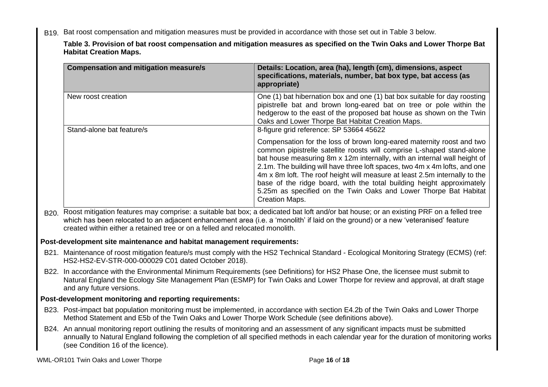B19. Bat roost compensation and mitigation measures must be provided in accordance with those set out in Table 3 below.

**Table 3. Provision of bat roost compensation and mitigation measures as specified on the Twin Oaks and Lower Thorpe Bat Habitat Creation Maps.**

| <b>Compensation and mitigation measure/s</b>                                                                                                                                                                                                                                                  | Details: Location, area (ha), length (cm), dimensions, aspect<br>specifications, materials, number, bat box type, bat access (as<br>appropriate)                                                                                                                                                                                                                                                                                                                                                                                                              |  |  |  |  |  |
|-----------------------------------------------------------------------------------------------------------------------------------------------------------------------------------------------------------------------------------------------------------------------------------------------|---------------------------------------------------------------------------------------------------------------------------------------------------------------------------------------------------------------------------------------------------------------------------------------------------------------------------------------------------------------------------------------------------------------------------------------------------------------------------------------------------------------------------------------------------------------|--|--|--|--|--|
| New roost creation                                                                                                                                                                                                                                                                            | One (1) bat hibernation box and one (1) bat box suitable for day roosting<br>pipistrelle bat and brown long-eared bat on tree or pole within the<br>hedgerow to the east of the proposed bat house as shown on the Twin<br>Oaks and Lower Thorpe Bat Habitat Creation Maps.                                                                                                                                                                                                                                                                                   |  |  |  |  |  |
| Stand-alone bat feature/s                                                                                                                                                                                                                                                                     | 8-figure grid reference: SP 53664 45622                                                                                                                                                                                                                                                                                                                                                                                                                                                                                                                       |  |  |  |  |  |
|                                                                                                                                                                                                                                                                                               | Compensation for the loss of brown long-eared maternity roost and two<br>common pipistrelle satellite roosts will comprise L-shaped stand-alone<br>bat house measuring 8m x 12m internally, with an internal wall height of<br>2.1m. The building will have three loft spaces, two 4m x 4m lofts, and one<br>4m x 8m loft. The roof height will measure at least 2.5m internally to the<br>base of the ridge board, with the total building height approximately<br>5.25m as specified on the Twin Oaks and Lower Thorpe Bat Habitat<br><b>Creation Maps.</b> |  |  |  |  |  |
| created within either a retained tree or on a felled and relocated monolith.                                                                                                                                                                                                                  | B20. Roost mitigation features may comprise: a suitable bat box; a dedicated bat loft and/or bat house; or an existing PRF on a felled tree<br>which has been relocated to an adjacent enhancement area (i.e. a 'monolith' if laid on the ground) or a new 'veteranised' feature                                                                                                                                                                                                                                                                              |  |  |  |  |  |
| Post-development site maintenance and habitat management requirements:                                                                                                                                                                                                                        |                                                                                                                                                                                                                                                                                                                                                                                                                                                                                                                                                               |  |  |  |  |  |
| HS2-HS2-EV-STR-000-000029 C01 dated October 2018).                                                                                                                                                                                                                                            | B21. Maintenance of roost mitigation feature/s must comply with the HS2 Technical Standard - Ecological Monitoring Strategy (ECMS) (ref:                                                                                                                                                                                                                                                                                                                                                                                                                      |  |  |  |  |  |
| B22. In accordance with the Environmental Minimum Requirements (see Definitions) for HS2 Phase One, the licensee must submit to<br>Natural England the Ecology Site Management Plan (ESMP) for Twin Oaks and Lower Thorpe for review and approval, at draft stage<br>and any future versions. |                                                                                                                                                                                                                                                                                                                                                                                                                                                                                                                                                               |  |  |  |  |  |
| Post-development monitoring and reporting requirements:                                                                                                                                                                                                                                       |                                                                                                                                                                                                                                                                                                                                                                                                                                                                                                                                                               |  |  |  |  |  |
| B23. Post-impact bat population monitoring must be implemented, in accordance with section E4.2b of the Twin Oaks and Lower Thorpe<br>Method Statement and E5b of the Twin Oaks and Lower Thorpe Work Schedule (see definitions above).                                                       |                                                                                                                                                                                                                                                                                                                                                                                                                                                                                                                                                               |  |  |  |  |  |
| B24. An annual monitoring report outlining the results of monitoring and an assessment of any significant impacts must be submitted<br>annually to Natural England following the completion of all specified methods in each calendar year for the duration of monitoring works               |                                                                                                                                                                                                                                                                                                                                                                                                                                                                                                                                                               |  |  |  |  |  |

WML-OR101 Twin Oaks and Lower Thorpe **Page 16** of **18** Page 16 of 18

(see Condition 16 of the licence).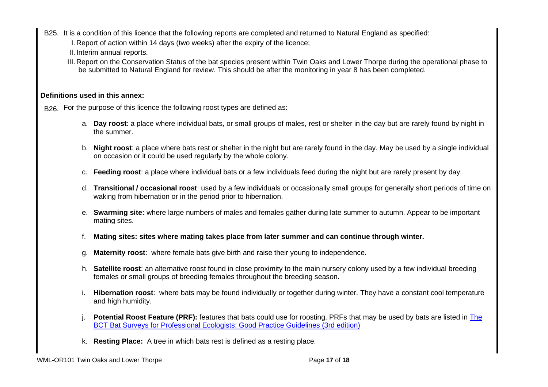- B25. It is a condition of this licence that the following reports are completed and returned to Natural England as specified:
	- I. Report of action within 14 days (two weeks) after the expiry of the licence;
	- II. Interim annual reports.
	- III. Report on the Conservation Status of the bat species present within Twin Oaks and Lower Thorpe during the operational phase to be submitted to Natural England for review. This should be after the monitoring in year 8 has been completed.

# **Definitions used in this annex:**

B<sub>26.</sub> For the purpose of this licence the following roost types are defined as:

- a. **Day roost**: a place where individual bats, or small groups of males, rest or shelter in the day but are rarely found by night in the summer.
- b. **Night roost**: a place where bats rest or shelter in the night but are rarely found in the day. May be used by a single individual on occasion or it could be used regularly by the whole colony.
- c. **Feeding roost**: a place where individual bats or a few individuals feed during the night but are rarely present by day.
- d. **Transitional / occasional roost**: used by a few individuals or occasionally small groups for generally short periods of time on waking from hibernation or in the period prior to hibernation.
- e. **Swarming site:** where large numbers of males and females gather during late summer to autumn. Appear to be important mating sites.
- f. **Mating sites: sites where mating takes place from later summer and can continue through winter.**
- g. **Maternity roost**: where female bats give birth and raise their young to independence.
- h. **Satellite roost**: an alternative roost found in close proximity to the main nursery colony used by a few individual breeding females or small groups of breeding females throughout the breeding season.
- i. **Hibernation roost**: where bats may be found individually or together during winter. They have a constant cool temperature and high humidity.
- Potential Roost Feature (PRF): features that bats could use for roosting. PRFs that may be used by bats are listed in The BCT Bat Surveys for Professional Ecologists: Good Practice Guidelines (3rd edition)
- k. **Resting Place:** A tree in which bats rest is defined as a resting place.